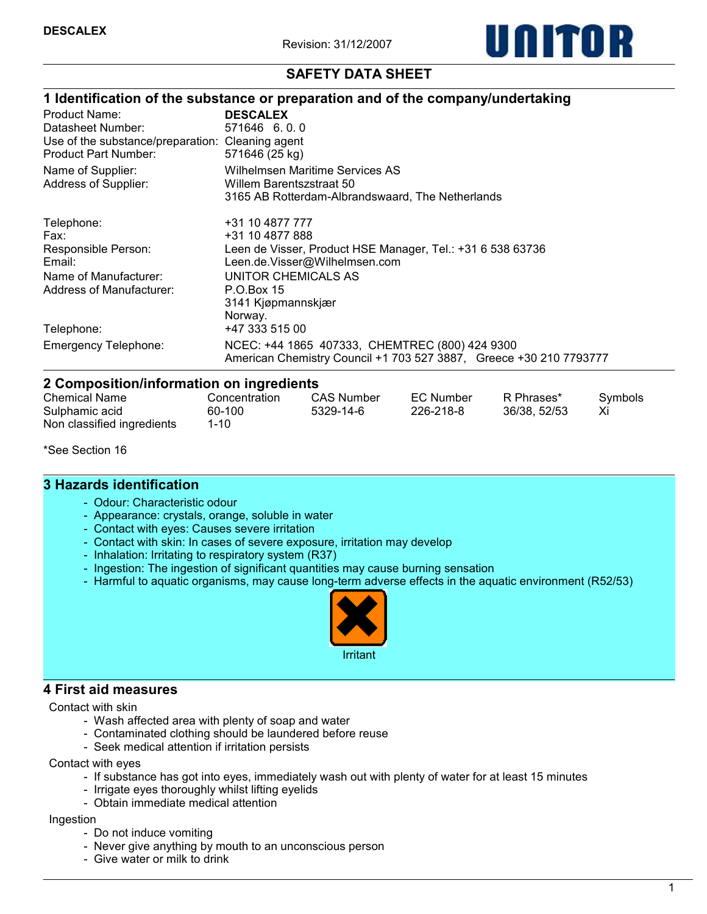

# SAFETY DATA SHEET

|                                                  | 1 Identification of the substance or preparation and of the company/undertaking |
|--------------------------------------------------|---------------------------------------------------------------------------------|
| Product Name:                                    | <b>DESCALEX</b>                                                                 |
| Datasheet Number:                                | 571646 6.0.0                                                                    |
| Use of the substance/preparation: Cleaning agent |                                                                                 |
| Product Part Number:                             | 571646 (25 kg)                                                                  |
| Name of Supplier:                                | Wilhelmsen Maritime Services AS                                                 |
| Address of Supplier:                             | Willem Barentszstraat 50                                                        |
|                                                  | 3165 AB Rotterdam-Albrandswaard, The Netherlands                                |
| Telephone:                                       | +31 10 4877 777                                                                 |
| Fax:                                             | +31 10 4877 888                                                                 |
| Responsible Person:                              | Leen de Visser, Product HSE Manager, Tel.: +31 6 538 63736                      |
| Email:                                           | Leen.de.Visser@Wilhelmsen.com                                                   |
| Name of Manufacturer:                            | UNITOR CHEMICALS AS                                                             |
| Address of Manufacturer:                         | P.O.Box 15                                                                      |
|                                                  | 3141 Kjøpmannskjær                                                              |
|                                                  | Norway.                                                                         |
| Telephone:                                       | +47 333 515 00                                                                  |
| <b>Emergency Telephone:</b>                      | NCEC: +44 1865 407333, CHEMTREC (800) 424 9300                                  |
|                                                  | American Chemistry Council +1 703 527 3887, Greece +30 210 7793777              |
| 2 Composition/information on ingredients         |                                                                                 |

| <b>Chemical Name</b>                         | Concentration  | <b>CAS Number</b> | EC Number | R Phrases*   | Symbols |  |  |  |  |  |
|----------------------------------------------|----------------|-------------------|-----------|--------------|---------|--|--|--|--|--|
| Sulphamic acid<br>Non classified ingredients | 60-100<br>1-10 | 5329-14-6         | 226-218-8 | 36/38, 52/53 |         |  |  |  |  |  |

\*See Section 16

# 3 Hazards identification

- Odour: Characteristic odour
- Appearance: crystals, orange, soluble in water
- Contact with eyes: Causes severe irritation
- Contact with skin: In cases of severe exposure, irritation may develop
- Inhalation: Irritating to respiratory system (R37)
- Ingestion: The ingestion of significant quantities may cause burning sensation
- Harmful to aquatic organisms, may cause long-term adverse effects in the aquatic environment (R52/53)



#### 4 First aid measures

Contact with skin

- Wash affected area with plenty of soap and water
- Contaminated clothing should be laundered before reuse
- Seek medical attention if irritation persists

Contact with eyes

- If substance has got into eyes, immediately wash out with plenty of water for at least 15 minutes
- Irrigate eyes thoroughly whilst lifting eyelids
- Obtain immediate medical attention

#### Ingestion

- Do not induce vomiting
- Never give anything by mouth to an unconscious person
- Give water or milk to drink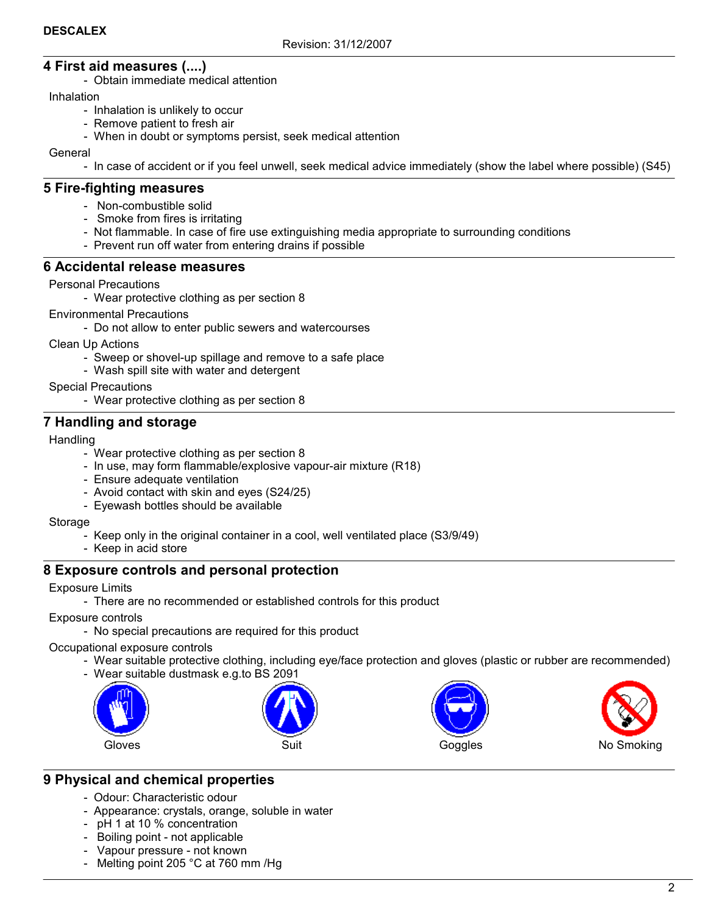# 4 First aid measures (....)

- Obtain immediate medical attention

### Inhalation

- Inhalation is unlikely to occur
- Remove patient to fresh air
- When in doubt or symptoms persist, seek medical attention

General

- In case of accident or if you feel unwell, seek medical advice immediately (show the label where possible) (S45)

# 5 Fire-fighting measures

- Non-combustible solid
- Smoke from fires is irritating
- Not flammable. In case of fire use extinguishing media appropriate to surrounding conditions
- Prevent run off water from entering drains if possible

### 6 Accidental release measures

Personal Precautions

- Wear protective clothing as per section 8

Environmental Precautions

- Do not allow to enter public sewers and watercourses

Clean Up Actions

- Sweep or shovel-up spillage and remove to a safe place
- Wash spill site with water and detergent

Special Precautions

- Wear protective clothing as per section 8

# 7 Handling and storage

#### Handling

- Wear protective clothing as per section 8
- In use, may form flammable/explosive vapour-air mixture (R18)
- Ensure adequate ventilation
- Avoid contact with skin and eyes (S24/25)
- Eyewash bottles should be available

Storage

- Keep only in the original container in a cool, well ventilated place (S3/9/49)
- Keep in acid store

# 8 Exposure controls and personal protection

Exposure Limits

- There are no recommended or established controls for this product

Exposure controls

- No special precautions are required for this product

Occupational exposure controls

- Wear suitable protective clothing, including eye/face protection and gloves (plastic or rubber are recommended)
- Wear suitable dustmask e.g.to BS 2091









# 9 Physical and chemical properties

- Odour: Characteristic odour
- Appearance: crystals, orange, soluble in water
- pH 1 at 10 % concentration
- Boiling point not applicable
- Vapour pressure not known
- Melting point 205 °C at 760 mm /Hg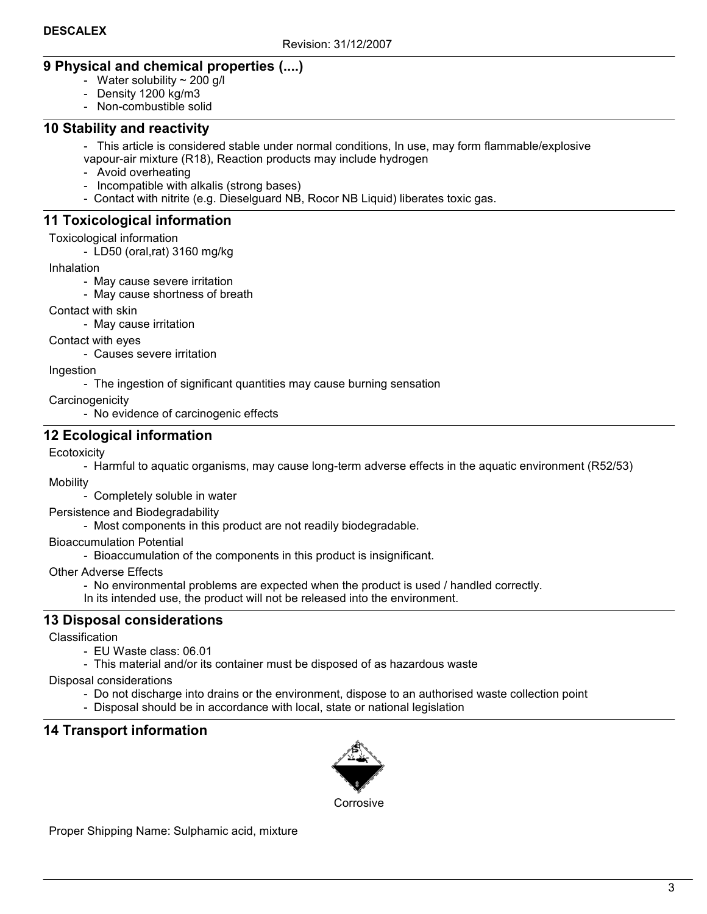# 9 Physical and chemical properties (....)

- Water solubility  $\sim$  200 g/l
- Density 1200 kg/m3
- Non-combustible solid

## 10 Stability and reactivity

- This article is considered stable under normal conditions, In use, may form flammable/explosive vapour-air mixture (R18), Reaction products may include hydrogen

- Avoid overheating
- Incompatible with alkalis (strong bases)
- Contact with nitrite (e.g. Dieselguard NB, Rocor NB Liquid) liberates toxic gas.

# 11 Toxicological information

Toxicological information

- LD50 (oral,rat) 3160 mg/kg

Inhalation

- May cause severe irritation
- May cause shortness of breath

Contact with skin

- May cause irritation

Contact with eyes

- Causes severe irritation

Ingestion

- The ingestion of significant quantities may cause burning sensation

**Carcinogenicity** 

- No evidence of carcinogenic effects

# 12 Ecological information

**Ecotoxicity** 

- Harmful to aquatic organisms, may cause long-term adverse effects in the aquatic environment (R52/53) **Mobility** 

- Completely soluble in water

Persistence and Biodegradability

- Most components in this product are not readily biodegradable.

Bioaccumulation Potential

- Bioaccumulation of the components in this product is insignificant.

Other Adverse Effects

- No environmental problems are expected when the product is used / handled correctly.

In its intended use, the product will not be released into the environment.

# 13 Disposal considerations

Classification

- EU Waste class: 06.01
- This material and/or its container must be disposed of as hazardous waste

Disposal considerations

- Do not discharge into drains or the environment, dispose to an authorised waste collection point
- Disposal should be in accordance with local, state or national legislation

# 14 Transport information



**Corrosive** 

Proper Shipping Name: Sulphamic acid, mixture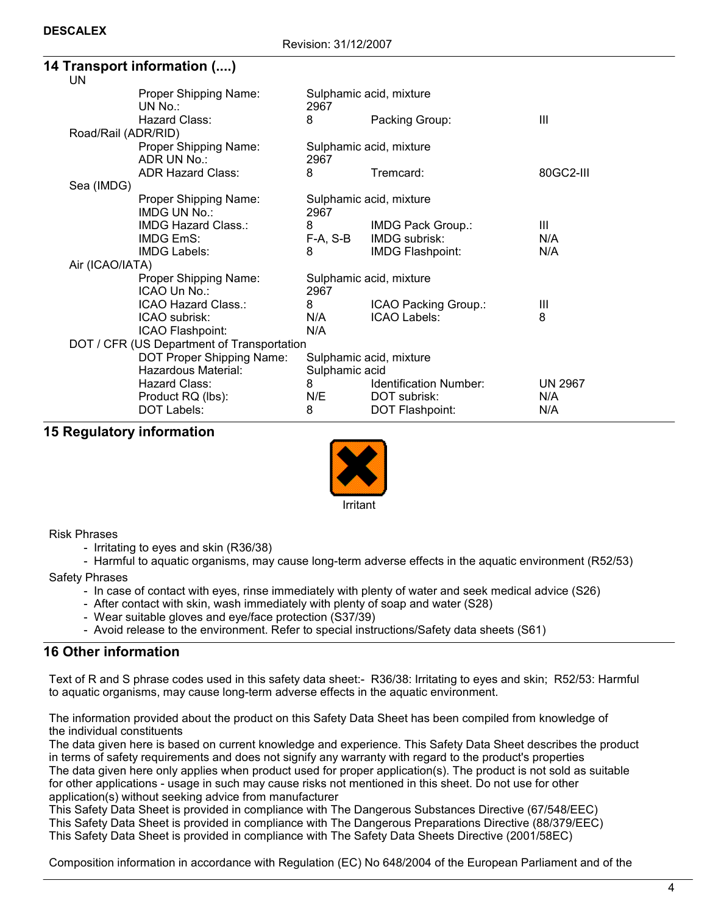|                                            | 4 Transport information ()                       |          |                                           |                |  |  |
|--------------------------------------------|--------------------------------------------------|----------|-------------------------------------------|----------------|--|--|
|                                            | UN                                               |          |                                           |                |  |  |
|                                            | Proper Shipping Name:<br>UN No.                  | 2967     | Sulphamic acid, mixture                   |                |  |  |
|                                            | Hazard Class:                                    | 8        | Packing Group:                            | Ш              |  |  |
|                                            | Road/Rail (ADR/RID)                              |          |                                           |                |  |  |
|                                            | Proper Shipping Name:<br>ADR UN No.:             | 2967     | Sulphamic acid, mixture                   |                |  |  |
|                                            | <b>ADR Hazard Class:</b>                         | 8        | Tremcard:                                 | 80GC2-III      |  |  |
|                                            | Sea (IMDG)                                       |          |                                           |                |  |  |
|                                            | Proper Shipping Name:<br>IMDG UN No.:            | 2967     | Sulphamic acid, mixture                   |                |  |  |
|                                            | IMDG Hazard Class.:                              | 8        | IMDG Pack Group.:                         | Ш              |  |  |
|                                            | <b>IMDG EmS:</b>                                 | F-A, S-B | IMDG subrisk:                             | N/A            |  |  |
|                                            | <b>IMDG Labels:</b>                              | 8        | IMDG Flashpoint:                          | N/A            |  |  |
|                                            | Air (ICAO/IATA)                                  |          |                                           |                |  |  |
|                                            | Proper Shipping Name:<br>ICAO Un No.:            | 2967     | Sulphamic acid, mixture                   |                |  |  |
|                                            | ICAO Hazard Class.:                              | 8        | ICAO Packing Group.:                      | Ш              |  |  |
|                                            | ICAO subrisk:                                    | N/A      | ICAO Labels:                              | 8              |  |  |
|                                            | ICAO Flashpoint:                                 | N/A      |                                           |                |  |  |
| DOT / CFR (US Department of Transportation |                                                  |          |                                           |                |  |  |
|                                            | DOT Proper Shipping Name:<br>Hazardous Material: |          | Sulphamic acid, mixture<br>Sulphamic acid |                |  |  |
|                                            | Hazard Class:                                    | 8        | Identification Number:                    | <b>UN 2967</b> |  |  |
|                                            | Product RQ (lbs):                                | N/E      | DOT subrisk:                              | N/A            |  |  |
|                                            | DOT Labels:                                      | 8        | DOT Flashpoint:                           | N/A            |  |  |

### 15 Regulatory information



#### Risk Phrases

- Irritating to eyes and skin (R36/38)
- Harmful to aquatic organisms, may cause long-term adverse effects in the aquatic environment (R52/53)

Safety Phrases

- In case of contact with eyes, rinse immediately with plenty of water and seek medical advice (S26)
- After contact with skin, wash immediately with plenty of soap and water (S28)
- Wear suitable gloves and eye/face protection (S37/39)
- Avoid release to the environment. Refer to special instructions/Safety data sheets (S61)

# 16 Other information

Text of R and S phrase codes used in this safety data sheet:- R36/38: Irritating to eyes and skin; R52/53: Harmful to aquatic organisms, may cause long-term adverse effects in the aquatic environment.

The information provided about the product on this Safety Data Sheet has been compiled from knowledge of the individual constituents

The data given here is based on current knowledge and experience. This Safety Data Sheet describes the product in terms of safety requirements and does not signify any warranty with regard to the product's properties The data given here only applies when product used for proper application(s). The product is not sold as suitable for other applications - usage in such may cause risks not mentioned in this sheet. Do not use for other application(s) without seeking advice from manufacturer

This Safety Data Sheet is provided in compliance with The Dangerous Substances Directive (67/548/EEC) This Safety Data Sheet is provided in compliance with The Dangerous Preparations Directive (88/379/EEC) This Safety Data Sheet is provided in compliance with The Safety Data Sheets Directive (2001/58EC)

Composition information in accordance with Regulation (EC) No 648/2004 of the European Parliament and of the